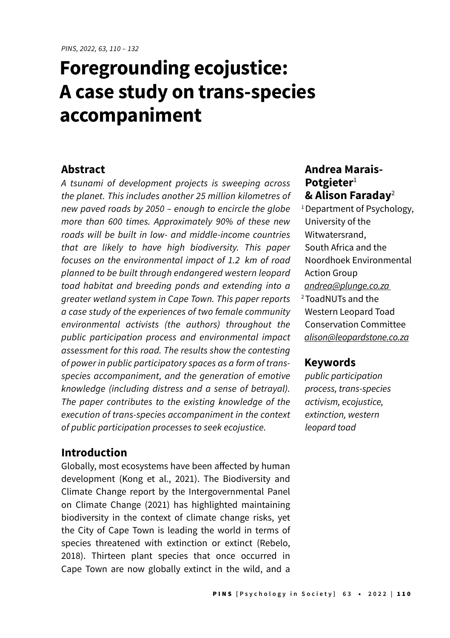# **Foregrounding ecojustice: A case study on trans-species accompaniment**

### **Abstract**

A tsunami of development projects is sweeping across the planet. This includes another 25 million kilometres of new paved roads by 2050 – enough to encircle the globe more than 600 times. Approximately 90% of these new roads will be built in low- and middle-income countries that are likely to have high biodiversity. This paper focuses on the environmental impact of 1.2 km of road planned to be built through endangered western leopard toad habitat and breeding ponds and extending into a greater wetland system in Cape Town. This paper reports a case study of the experiences of two female community environmental activists (the authors) throughout the public participation process and environmental impact assessment for this road. The results show the contesting of power in public participatory spaces as a form of transspecies accompaniment, and the generation of emotive knowledge (including distress and a sense of betrayal). The paper contributes to the existing knowledge of the execution of trans-species accompaniment in the context of public participation processes to seek ecojustice.

## **Introduction**

Globally, most ecosystems have been affected by human development (Kong et al., 2021). The Biodiversity and Climate Change report by the Intergovernmental Panel on Climate Change (2021) has highlighted maintaining biodiversity in the context of climate change risks, yet the City of Cape Town is leading the world in terms of species threatened with extinction or extinct (Rebelo, 2018). Thirteen plant species that once occurred in Cape Town are now globally extinct in the wild, and a

## **Andrea Marais-Potgieter**<sup>1</sup> **& Alison Faraday**<sup>2</sup>

<sup>1</sup> Department of Psychology, University of the Witwatersrand, South Africa and the Noordhoek Environmental Action Group [andrea@plunge.co.za](mailto:andrea@plunge.co.za) 2 ToadNUTs and the Western Leopard Toad Conservation Committee [alison@leopardstone.co.za](mailto:alison@leopardstone.co.za)

## **Keywords**

public participation process, trans-species activism, ecojustice, extinction, western *leopard toad*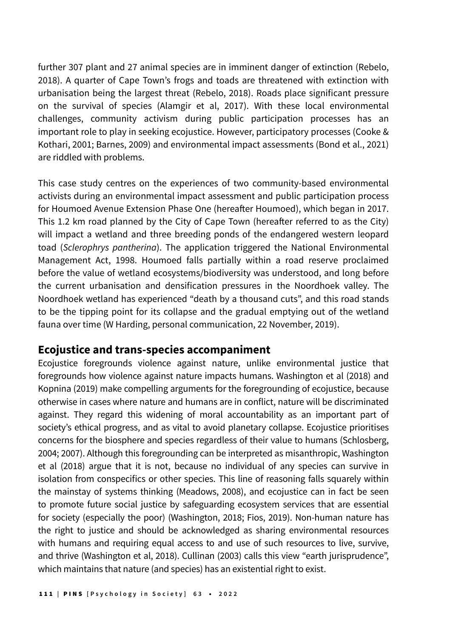further 307 plant and 27 animal species are in imminent danger of extinction (Rebelo, 2018). A quarter of Cape Town's frogs and toads are threatened with extinction with urbanisation being the largest threat (Rebelo, 2018). Roads place significant pressure on the survival of species (Alamgir et al, 2017). With these local environmental challenges, community activism during public participation processes has an important role to play in seeking ecojustice. However, participatory processes (Cooke & Kothari, 2001; Barnes, 2009) and environmental impact assessments (Bond et al., 2021) are riddled with problems.

This case study centres on the experiences of two community-based environmental activists during an environmental impact assessment and public participation process for Houmoed Avenue Extension Phase One (hereafter Houmoed), which began in 2017. This 1.2 km road planned by the City of Cape Town (hereafter referred to as the City) will impact a wetland and three breeding ponds of the endangered western leopard toad (*Sclerophrys pantherina*). The application triggered the National Environmental Management Act, 1998. Houmoed falls partially within a road reserve proclaimed before the value of wetland ecosystems/biodiversity was understood, and long before the current urbanisation and densification pressures in the Noordhoek valley. The Noordhoek wetland has experienced "death by a thousand cuts", and this road stands to be the tipping point for its collapse and the gradual emptying out of the wetland fauna over time (W Harding, personal communication, 22 November, 2019).

## **Ecojustice and trans-species accompaniment**

Ecojustice foregrounds violence against nature, unlike environmental justice that foregrounds how violence against nature impacts humans. Washington et al (2018) and Kopnina (2019) make compelling arguments for the foregrounding of ecojustice, because otherwise in cases where nature and humans are in conflict, nature will be discriminated against. They regard this widening of moral accountability as an important part of society's ethical progress, and as vital to avoid planetary collapse. Ecojustice prioritises concerns for the biosphere and species regardless of their value to humans (Schlosberg, 2004; 2007). Although this foregrounding can be interpreted as misanthropic, Washington et al (2018) argue that it is not, because no individual of any species can survive in isolation from conspecifics or other species. This line of reasoning falls squarely within the mainstay of systems thinking (Meadows, 2008), and ecojustice can in fact be seen to promote future social justice by safeguarding ecosystem services that are essential for society (especially the poor) (Washington, 2018; Fios, 2019). Non-human nature has the right to justice and should be acknowledged as sharing environmental resources with humans and requiring equal access to and use of such resources to live, survive, and thrive (Washington et al, 2018). Cullinan (2003) calls this view "earth jurisprudence", which maintains that nature (and species) has an existential right to exist.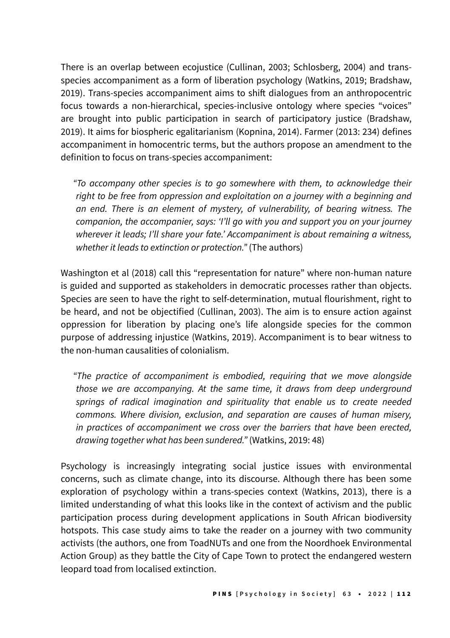There is an overlap between ecojustice (Cullinan, 2003; Schlosberg, 2004) and transspecies accompaniment as a form of liberation psychology (Watkins, 2019; Bradshaw, 2019). Trans-species accompaniment aims to shift dialogues from an anthropocentric focus towards a non-hierarchical, species-inclusive ontology where species "voices" are brought into public participation in search of participatory justice (Bradshaw, 2019). It aims for biospheric egalitarianism (Kopnina, 2014). Farmer (2013: 234) defines accompaniment in homocentric terms, but the authors propose an amendment to the definition to focus on trans-species accompaniment:

"To accompany other species is to go somewhere with them, to acknowledge their right to be free from oppression and exploitation on a journey with a beginning and an end. There is an element of mystery, of vulnerability, of bearing witness. The companion, the accompanier, says: 'I'll go with you and support you on your journey wherever it leads; I'll share your fate.' Accompaniment is about remaining a witness, whether it leads to extinction or protection." (The authors)

Washington et al (2018) call this "representation for nature" where non-human nature is guided and supported as stakeholders in democratic processes rather than objects. Species are seen to have the right to self-determination, mutual flourishment, right to be heard, and not be objectified (Cullinan, 2003). The aim is to ensure action against oppression for liberation by placing one's life alongside species for the common purpose of addressing injustice (Watkins, 2019). Accompaniment is to bear witness to the non-human causalities of colonialism.

"The practice of accompaniment is embodied, requiring that we move alongside those we are accompanying. At the same time, it draws from deep underground springs of radical imagination and spirituality that enable us to create needed commons. Where division, exclusion, and separation are causes of human misery, in practices of accompaniment we cross over the barriers that have been erected, drawing together what has been sundered." (Watkins, 2019: 48)

Psychology is increasingly integrating social justice issues with environmental concerns, such as climate change, into its discourse. Although there has been some exploration of psychology within a trans-species context (Watkins, 2013), there is a limited understanding of what this looks like in the context of activism and the public participation process during development applications in South African biodiversity hotspots. This case study aims to take the reader on a journey with two community activists (the authors, one from ToadNUTs and one from the Noordhoek Environmental Action Group) as they battle the City of Cape Town to protect the endangered western leopard toad from localised extinction.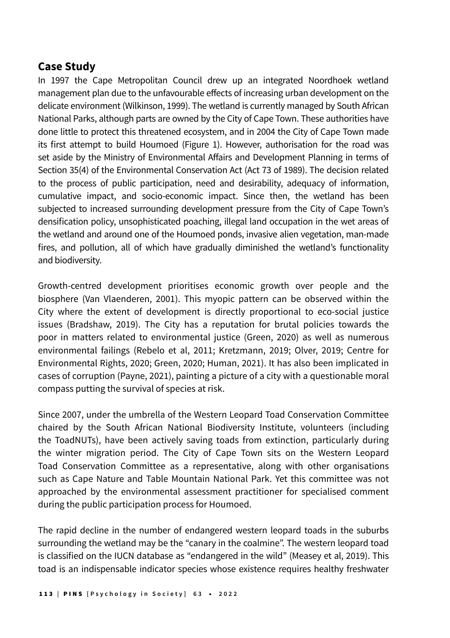# **Case Study**

In 1997 the Cape Metropolitan Council drew up an integrated Noordhoek wetland management plan due to the unfavourable effects of increasing urban development on the delicate environment (Wilkinson, 1999). The wetland is currently managed by South African National Parks, although parts are owned by the City of Cape Town. These authorities have done little to protect this threatened ecosystem, and in 2004 the City of Cape Town made its first attempt to build Houmoed (Figure 1). However, authorisation for the road was set aside by the Ministry of Environmental Affairs and Development Planning in terms of Section 35(4) of the Environmental Conservation Act (Act 73 of 1989). The decision related to the process of public participation, need and desirability, adequacy of information, cumulative impact, and socio-economic impact. Since then, the wetland has been subjected to increased surrounding development pressure from the City of Cape Town's densification policy, unsophisticated poaching, illegal land occupation in the wet areas of the wetland and around one of the Houmoed ponds, invasive alien vegetation, man-made fires, and pollution, all of which have gradually diminished the wetland's functionality and biodiversity.

Growth-centred development prioritises economic growth over people and the biosphere (Van Vlaenderen, 2001). This myopic pattern can be observed within the City where the extent of development is directly proportional to eco-social justice issues (Bradshaw, 2019). The City has a reputation for brutal policies towards the poor in matters related to environmental justice (Green, 2020) as well as numerous environmental failings (Rebelo et al, 2011; Kretzmann, 2019; Olver, 2019; Centre for Environmental Rights, 2020; Green, 2020; Human, 2021). It has also been implicated in cases of corruption (Payne, 2021), painting a picture of a city with a questionable moral compass putting the survival of species at risk.

Since 2007, under the umbrella of the Western Leopard Toad Conservation Committee chaired by the South African National Biodiversity Institute, volunteers (including the ToadNUTs), have been actively saving toads from extinction, particularly during the winter migration period. The City of Cape Town sits on the Western Leopard Toad Conservation Committee as a representative, along with other organisations such as Cape Nature and Table Mountain National Park. Yet this committee was not approached by the environmental assessment practitioner for specialised comment during the public participation process for Houmoed.

The rapid decline in the number of endangered western leopard toads in the suburbs surrounding the wetland may be the "canary in the coalmine". The western leopard toad is classified on the IUCN database as "endangered in the wild" (Measey et al, 2019). This toad is an indispensable indicator species whose existence requires healthy freshwater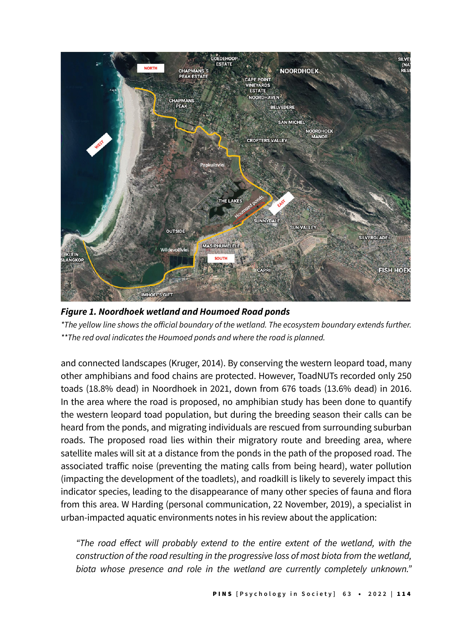

*Figure 1. Noordhoek wetland and Houmoed Road ponds*

\*The yellow line shows the official boundary of the wetland. The ecosystem boundary extends further. \*\*The red oval indicates the Houmoed ponds and where the road is planned.

and connected landscapes (Kruger, 2014). By conserving the western leopard toad, many other amphibians and food chains are protected. However, ToadNUTs recorded only 250 toads (18.8% dead) in Noordhoek in 2021, down from 676 toads (13.6% dead) in 2016. In the area where the road is proposed, no amphibian study has been done to quantify the western leopard toad population, but during the breeding season their calls can be heard from the ponds, and migrating individuals are rescued from surrounding suburban roads. The proposed road lies within their migratory route and breeding area, where satellite males will sit at a distance from the ponds in the path of the proposed road. The associated traffic noise (preventing the mating calls from being heard), water pollution (impacting the development of the toadlets), and roadkill is likely to severely impact this indicator species, leading to the disappearance of many other species of fauna and flora from this area. W Harding (personal communication, 22 November, 2019), a specialist in urban-impacted aquatic environments notes in his review about the application:

"The road effect will probably extend to the entire extent of the wetland, with the construction of the road resulting in the progressive loss of most biota from the wetland, biota whose presence and role in the wetland are currently completely unknown."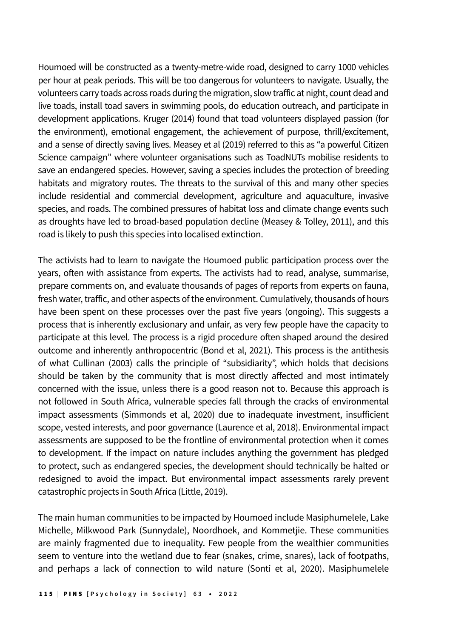Houmoed will be constructed as a twenty-metre-wide road, designed to carry 1000 vehicles per hour at peak periods. This will be too dangerous for volunteers to navigate. Usually, the volunteers carry toads across roads during the migration, slow traffic at night, count dead and live toads, install toad savers in swimming pools, do education outreach, and participate in development applications. Kruger (2014) found that toad volunteers displayed passion (for the environment), emotional engagement, the achievement of purpose, thrill/excitement, and a sense of directly saving lives. Measey et al (2019) referred to this as "a powerful Citizen Science campaign" where volunteer organisations such as ToadNUTs mobilise residents to save an endangered species. However, saving a species includes the protection of breeding habitats and migratory routes. The threats to the survival of this and many other species include residential and commercial development, agriculture and aquaculture, invasive species, and roads. The combined pressures of habitat loss and climate change events such as droughts have led to broad-based population decline (Measey & Tolley, 2011), and this road is likely to push this species into localised extinction.

The activists had to learn to navigate the Houmoed public participation process over the years, often with assistance from experts. The activists had to read, analyse, summarise, prepare comments on, and evaluate thousands of pages of reports from experts on fauna, fresh water, traffic, and other aspects of the environment. Cumulatively, thousands of hours have been spent on these processes over the past five years (ongoing). This suggests a process that is inherently exclusionary and unfair, as very few people have the capacity to participate at this level. The process is a rigid procedure often shaped around the desired outcome and inherently anthropocentric (Bond et al, 2021). This process is the antithesis of what Cullinan (2003) calls the principle of "subsidiarity", which holds that decisions should be taken by the community that is most directly affected and most intimately concerned with the issue, unless there is a good reason not to. Because this approach is not followed in South Africa, vulnerable species fall through the cracks of environmental impact assessments (Simmonds et al, 2020) due to inadequate investment, insufficient scope, vested interests, and poor governance (Laurence et al, 2018). Environmental impact assessments are supposed to be the frontline of environmental protection when it comes to development. If the impact on nature includes anything the government has pledged to protect, such as endangered species, the development should technically be halted or redesigned to avoid the impact. But environmental impact assessments rarely prevent catastrophic projects in South Africa (Little, 2019).

The main human communities to be impacted by Houmoed include Masiphumelele, Lake Michelle, Milkwood Park (Sunnydale), Noordhoek, and Kommetjie. These communities are mainly fragmented due to inequality. Few people from the wealthier communities seem to venture into the wetland due to fear (snakes, crime, snares), lack of footpaths, and perhaps a lack of connection to wild nature (Sonti et al, 2020). Masiphumelele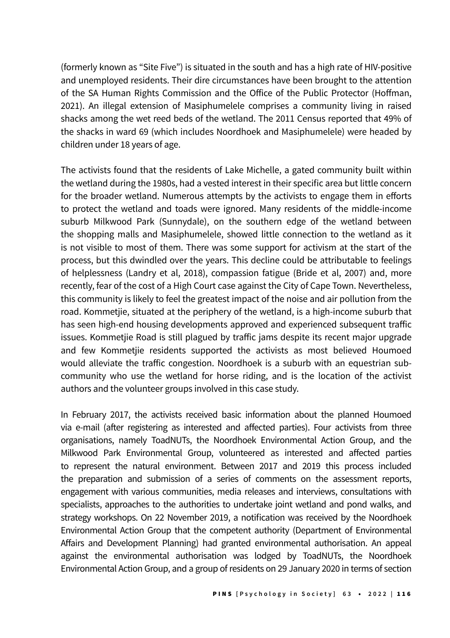(formerly known as "Site Five") is situated in the south and has a high rate of HIV-positive and unemployed residents. Their dire circumstances have been brought to the attention of the SA Human Rights Commission and the Office of the Public Protector (Hoffman, 2021). An illegal extension of Masiphumelele comprises a community living in raised shacks among the wet reed beds of the wetland. The 2011 Census reported that 49% of the shacks in ward 69 (which includes Noordhoek and Masiphumelele) were headed by children under 18 years of age.

The activists found that the residents of Lake Michelle, a gated community built within the wetland during the 1980s, had a vested interest in their specific area but little concern for the broader wetland. Numerous attempts by the activists to engage them in efforts to protect the wetland and toads were ignored. Many residents of the middle-income suburb Milkwood Park (Sunnydale), on the southern edge of the wetland between the shopping malls and Masiphumelele, showed little connection to the wetland as it is not visible to most of them. There was some support for activism at the start of the process, but this dwindled over the years. This decline could be attributable to feelings of helplessness (Landry et al, 2018), compassion fatigue (Bride et al, 2007) and, more recently, fear of the cost of a High Court case against the City of Cape Town. Nevertheless, this community is likely to feel the greatest impact of the noise and air pollution from the road. Kommetjie, situated at the periphery of the wetland, is a high-income suburb that has seen high-end housing developments approved and experienced subsequent traffic issues. Kommetjie Road is still plagued by traffic jams despite its recent major upgrade and few Kommetjie residents supported the activists as most believed Houmoed would alleviate the traffic congestion. Noordhoek is a suburb with an equestrian subcommunity who use the wetland for horse riding, and is the location of the activist authors and the volunteer groups involved in this case study.

In February 2017, the activists received basic information about the planned Houmoed via e-mail (after registering as interested and affected parties). Four activists from three organisations, namely ToadNUTs, the Noordhoek Environmental Action Group, and the Milkwood Park Environmental Group, volunteered as interested and affected parties to represent the natural environment. Between 2017 and 2019 this process included the preparation and submission of a series of comments on the assessment reports, engagement with various communities, media releases and interviews, consultations with specialists, approaches to the authorities to undertake joint wetland and pond walks, and strategy workshops. On 22 November 2019, a notification was received by the Noordhoek Environmental Action Group that the competent authority (Department of Environmental Affairs and Development Planning) had granted environmental authorisation. An appeal against the environmental authorisation was lodged by ToadNUTs, the Noordhoek Environmental Action Group, and a group of residents on 29 January 2020 in terms of section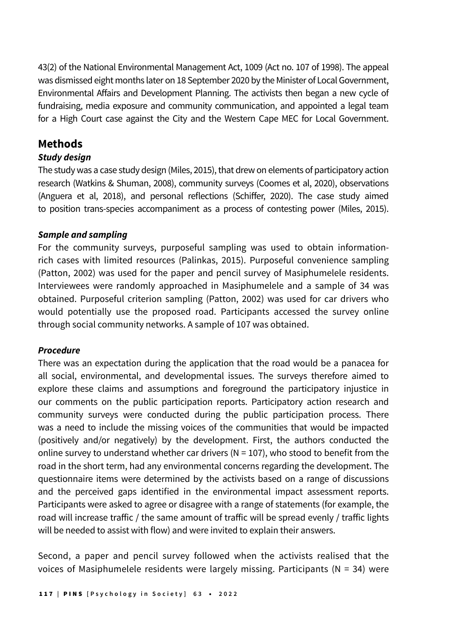43(2) of the National Environmental Management Act, 1009 (Act no. 107 of 1998). The appeal was dismissed eight months later on 18 September 2020 by the Minister of Local Government, Environmental Affairs and Development Planning. The activists then began a new cycle of fundraising, media exposure and community communication, and appointed a legal team for a High Court case against the City and the Western Cape MEC for Local Government.

## **Methods**

#### *Study design*

The study was a case study design (Miles, 2015), that drew on elements of participatory action research (Watkins & Shuman, 2008), community surveys (Coomes et al, 2020), observations (Anguera et al, 2018), and personal reflections (Schiffer, 2020). The case study aimed to position trans-species accompaniment as a process of contesting power (Miles, 2015).

#### *Sample and sampling*

For the community surveys, purposeful sampling was used to obtain informationrich cases with limited resources (Palinkas, 2015). Purposeful convenience sampling (Patton, 2002) was used for the paper and pencil survey of Masiphumelele residents. Interviewees were randomly approached in Masiphumelele and a sample of 34 was obtained. Purposeful criterion sampling (Patton, 2002) was used for car drivers who would potentially use the proposed road. Participants accessed the survey online through social community networks. A sample of 107 was obtained.

#### *Procedure*

There was an expectation during the application that the road would be a panacea for all social, environmental, and developmental issues. The surveys therefore aimed to explore these claims and assumptions and foreground the participatory injustice in our comments on the public participation reports. Participatory action research and community surveys were conducted during the public participation process. There was a need to include the missing voices of the communities that would be impacted (positively and/or negatively) by the development. First, the authors conducted the online survey to understand whether car drivers ( $N = 107$ ), who stood to benefit from the road in the short term, had any environmental concerns regarding the development. The questionnaire items were determined by the activists based on a range of discussions and the perceived gaps identified in the environmental impact assessment reports. Participants were asked to agree or disagree with a range of statements (for example, the road will increase traffic / the same amount of traffic will be spread evenly / traffic lights will be needed to assist with flow) and were invited to explain their answers.

Second, a paper and pencil survey followed when the activists realised that the voices of Masiphumelele residents were largely missing. Participants ( $N = 34$ ) were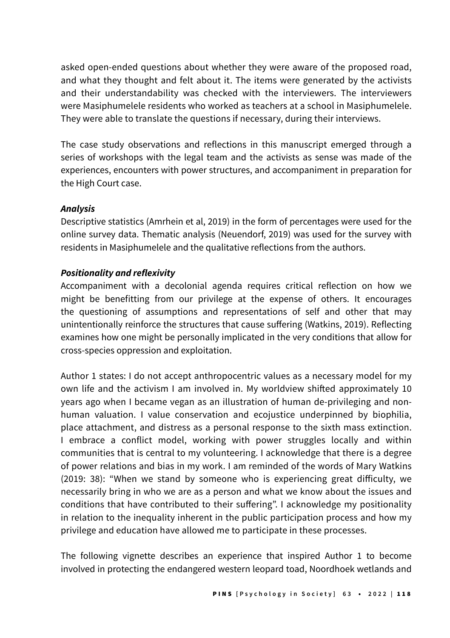asked open-ended questions about whether they were aware of the proposed road, and what they thought and felt about it. The items were generated by the activists and their understandability was checked with the interviewers. The interviewers were Masiphumelele residents who worked as teachers at a school in Masiphumelele. They were able to translate the questions if necessary, during their interviews.

The case study observations and reflections in this manuscript emerged through a series of workshops with the legal team and the activists as sense was made of the experiences, encounters with power structures, and accompaniment in preparation for the High Court case.

### *Analysis*

Descriptive statistics (Amrhein et al, 2019) in the form of percentages were used for the online survey data. Thematic analysis (Neuendorf, 2019) was used for the survey with residents in Masiphumelele and the qualitative reflections from the authors.

## **Positionality and reflexivity**

Accompaniment with a decolonial agenda requires critical reflection on how we might be benefitting from our privilege at the expense of others. It encourages the questioning of assumptions and representations of self and other that may unintentionally reinforce the structures that cause suffering (Watkins, 2019). Reflecting examines how one might be personally implicated in the very conditions that allow for cross-species oppression and exploitation.

Author 1 states: I do not accept anthropocentric values as a necessary model for my own life and the activism I am involved in. My worldview shifted approximately 10 years ago when I became vegan as an illustration of human de-privileging and nonhuman valuation. I value conservation and ecojustice underpinned by biophilia, place attachment, and distress as a personal response to the sixth mass extinction. I embrace a conflict model, working with power struggles locally and within communities that is central to my volunteering. I acknowledge that there is a degree of power relations and bias in my work. I am reminded of the words of Mary Watkins (2019: 38): "When we stand by someone who is experiencing great difficulty, we necessarily bring in who we are as a person and what we know about the issues and conditions that have contributed to their suffering". I acknowledge my positionality in relation to the inequality inherent in the public participation process and how my privilege and education have allowed me to participate in these processes.

The following vignette describes an experience that inspired Author 1 to become involved in protecting the endangered western leopard toad, Noordhoek wetlands and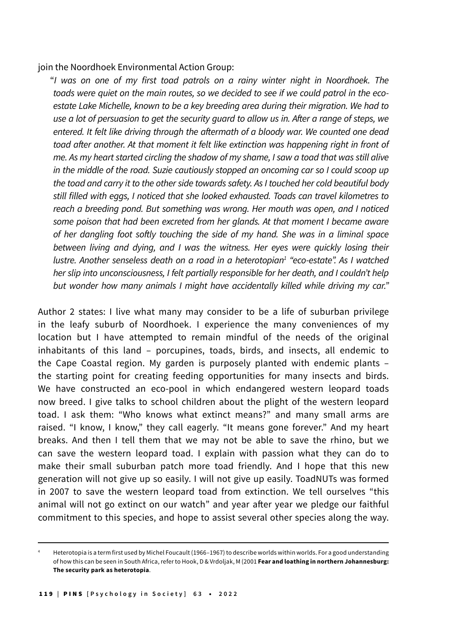join the Noordhoek Environmental Action Group:

"I was on one of my first toad patrols on a rainy winter night in Noordhoek. The toads were quiet on the main routes, so we decided to see if we could patrol in the ecoestate Lake Michelle, known to be a key breeding area during their migration. We had to use a lot of persuasion to get the security guard to allow us in. After a range of steps, we entered. It felt like driving through the aftermath of a bloody war. We counted one dead toad after another. At that moment it felt like extinction was happening right in front of me. As my heart started circling the shadow of my shame, I saw a toad that was still alive in the middle of the road. Suzie cautiously stopped an oncoming car so I could scoop up the toad and carry it to the other side towards safety. As I touched her cold beautiful body still filled with eggs, I noticed that she looked exhausted. Toads can travel kilometres to reach a breeding pond. But something was wrong. Her mouth was open, and I noticed some poison that had been excreted from her glands. At that moment I became aware of her dangling foot softly touching the side of my hand. She was in a liminal space between living and dying, and I was the witness. Her eyes were quickly losing their lustre. Another senseless death on a road in a heterotopian<sup>1</sup> "eco-estate". As I watched her slip into unconsciousness, I felt partially responsible for her death, and I couldn't help but wonder how many animals I might have accidentally killed while driving my car."

Author 2 states: I live what many may consider to be a life of suburban privilege in the leafy suburb of Noordhoek. I experience the many conveniences of my location but I have attempted to remain mindful of the needs of the original inhabitants of this land – porcupines, toads, birds, and insects, all endemic to the Cape Coastal region. My garden is purposely planted with endemic plants – the starting point for creating feeding opportunities for many insects and birds. We have constructed an eco-pool in which endangered western leopard toads now breed. I give talks to school children about the plight of the western leopard toad. I ask them: "Who knows what extinct means?" and many small arms are raised. "I know, I know," they call eagerly. "It means gone forever." And my heart breaks. And then I tell them that we may not be able to save the rhino, but we can save the western leopard toad. I explain with passion what they can do to make their small suburban patch more toad friendly. And I hope that this new generation will not give up so easily. I will not give up easily. ToadNUTs was formed in 2007 to save the western leopard toad from extinction. We tell ourselves "this animal will not go extinct on our watch" and year after year we pledge our faithful commitment to this species, and hope to assist several other species along the way.

<sup>4</sup> Heterotopia is a term first used by Michel Foucault (1966–1967) to describe worlds within worlds. For a good understanding of how this can be seen in South Africa, refer to Hook, D & Vrdoljak, M (2001 **Fear and loathing in northern Johannesburg: The security park as heterotopia**.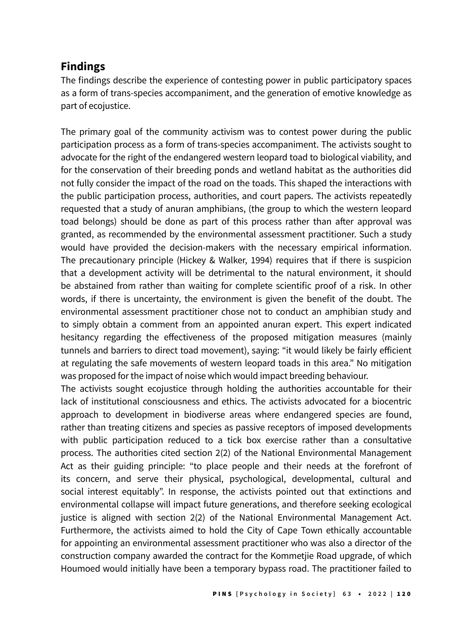# **Findings**

The findings describe the experience of contesting power in public participatory spaces as a form of trans-species accompaniment, and the generation of emotive knowledge as part of ecojustice.

The primary goal of the community activism was to contest power during the public participation process as a form of trans-species accompaniment. The activists sought to advocate for the right of the endangered western leopard toad to biological viability, and for the conservation of their breeding ponds and wetland habitat as the authorities did not fully consider the impact of the road on the toads. This shaped the interactions with the public participation process, authorities, and court papers. The activists repeatedly requested that a study of anuran amphibians, (the group to which the western leopard toad belongs) should be done as part of this process rather than after approval was granted, as recommended by the environmental assessment practitioner. Such a study would have provided the decision-makers with the necessary empirical information. The precautionary principle (Hickey & Walker, 1994) requires that if there is suspicion that a development activity will be detrimental to the natural environment, it should be abstained from rather than waiting for complete scientific proof of a risk. In other words, if there is uncertainty, the environment is given the benefit of the doubt. The environmental assessment practitioner chose not to conduct an amphibian study and to simply obtain a comment from an appointed anuran expert. This expert indicated hesitancy regarding the effectiveness of the proposed mitigation measures (mainly tunnels and barriers to direct toad movement), saying: "it would likely be fairly efficient at regulating the safe movements of western leopard toads in this area." No mitigation was proposed for the impact of noise which would impact breeding behaviour.

The activists sought ecojustice through holding the authorities accountable for their lack of institutional consciousness and ethics. The activists advocated for a biocentric approach to development in biodiverse areas where endangered species are found, rather than treating citizens and species as passive receptors of imposed developments with public participation reduced to a tick box exercise rather than a consultative process. The authorities cited section 2(2) of the National Environmental Management Act as their guiding principle: "to place people and their needs at the forefront of its concern, and serve their physical, psychological, developmental, cultural and social interest equitably". In response, the activists pointed out that extinctions and environmental collapse will impact future generations, and therefore seeking ecological justice is aligned with section 2(2) of the National Environmental Management Act. Furthermore, the activists aimed to hold the City of Cape Town ethically accountable for appointing an environmental assessment practitioner who was also a director of the construction company awarded the contract for the Kommetjie Road upgrade, of which Houmoed would initially have been a temporary bypass road. The practitioner failed to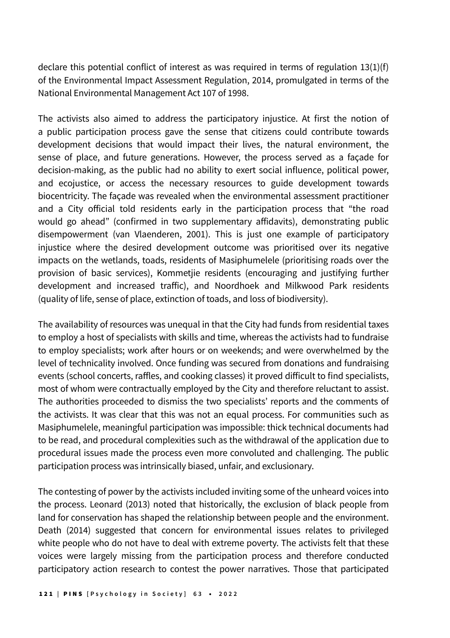declare this potential conflict of interest as was required in terms of regulation 13(1)(f) of the Environmental Impact Assessment Regulation, 2014, promulgated in terms of the National Environmental Management Act 107 of 1998.

The activists also aimed to address the participatory injustice. At first the notion of a public participation process gave the sense that citizens could contribute towards development decisions that would impact their lives, the natural environment, the sense of place, and future generations. However, the process served as a façade for decision-making, as the public had no ability to exert social influence, political power, and ecojustice, or access the necessary resources to guide development towards biocentricity. The façade was revealed when the environmental assessment practitioner and a City official told residents early in the participation process that "the road would go ahead" (confirmed in two supplementary affidavits), demonstrating public disempowerment (van Vlaenderen, 2001). This is just one example of participatory injustice where the desired development outcome was prioritised over its negative impacts on the wetlands, toads, residents of Masiphumelele (prioritising roads over the provision of basic services), Kommetjie residents (encouraging and justifying further development and increased traffic), and Noordhoek and Milkwood Park residents (quality of life, sense of place, extinction of toads, and loss of biodiversity).

The availability of resources was unequal in that the City had funds from residential taxes to employ a host of specialists with skills and time, whereas the activists had to fundraise to employ specialists; work after hours or on weekends; and were overwhelmed by the level of technicality involved. Once funding was secured from donations and fundraising events (school concerts, raffles, and cooking classes) it proved difficult to find specialists, most of whom were contractually employed by the City and therefore reluctant to assist. The authorities proceeded to dismiss the two specialists' reports and the comments of the activists. It was clear that this was not an equal process. For communities such as Masiphumelele, meaningful participation was impossible: thick technical documents had to be read, and procedural complexities such as the withdrawal of the application due to procedural issues made the process even more convoluted and challenging. The public participation process was intrinsically biased, unfair, and exclusionary.

The contesting of power by the activists included inviting some of the unheard voices into the process. Leonard (2013) noted that historically, the exclusion of black people from land for conservation has shaped the relationship between people and the environment. Death (2014) suggested that concern for environmental issues relates to privileged white people who do not have to deal with extreme poverty. The activists felt that these voices were largely missing from the participation process and therefore conducted participatory action research to contest the power narratives. Those that participated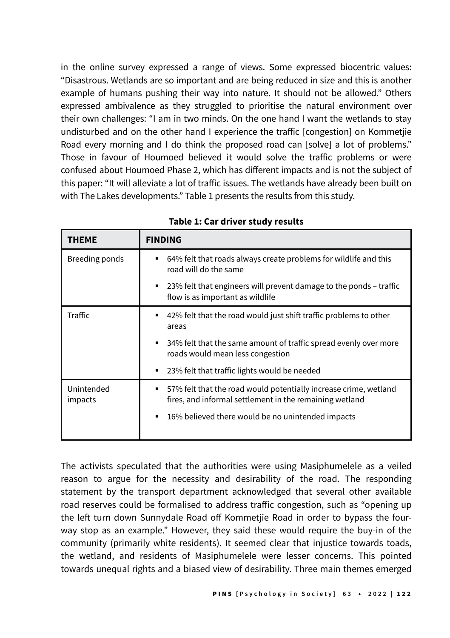in the online survey expressed a range of views. Some expressed biocentric values: "Disastrous. Wetlands are so important and are being reduced in size and this is another example of humans pushing their way into nature. It should not be allowed." Others expressed ambivalence as they struggled to prioritise the natural environment over their own challenges: "I am in two minds. On the one hand I want the wetlands to stay undisturbed and on the other hand I experience the traffic [congestion] on Kommetjie Road every morning and I do think the proposed road can [solve] a lot of problems." Those in favour of Houmoed believed it would solve the traffic problems or were confused about Houmoed Phase 2, which has different impacts and is not the subject of this paper: "It will alleviate a lot of traffic issues. The wetlands have already been built on with The Lakes developments." Table 1 presents the results from this study.

| THEME                 | <b>FINDING</b>                                                                                                                                                                             |  |
|-----------------------|--------------------------------------------------------------------------------------------------------------------------------------------------------------------------------------------|--|
| Breeding ponds        | 64% felt that roads always create problems for wildlife and this<br>٠<br>road will do the same                                                                                             |  |
|                       | 23% felt that engineers will prevent damage to the ponds – traffic<br>٠<br>flow is as important as wildlife                                                                                |  |
| <b>Traffic</b>        | 42% felt that the road would just shift traffic problems to other<br>areas                                                                                                                 |  |
|                       | 34% felt that the same amount of traffic spread evenly over more<br>٠<br>roads would mean less congestion                                                                                  |  |
|                       | 23% felt that traffic lights would be needed<br>٠                                                                                                                                          |  |
| Unintended<br>impacts | 57% felt that the road would potentially increase crime, wetland<br>٠<br>fires, and informal settlement in the remaining wetland<br>16% believed there would be no unintended impacts<br>٠ |  |

**Table 1: Car driver study results**

The activists speculated that the authorities were using Masiphumelele as a veiled reason to argue for the necessity and desirability of the road. The responding statement by the transport department acknowledged that several other available road reserves could be formalised to address traffic congestion, such as "opening up the left turn down Sunnydale Road off Kommetjie Road in order to bypass the fourway stop as an example." However, they said these would require the buy-in of the community (primarily white residents). It seemed clear that injustice towards toads, the wetland, and residents of Masiphumelele were lesser concerns. This pointed towards unequal rights and a biased view of desirability. Three main themes emerged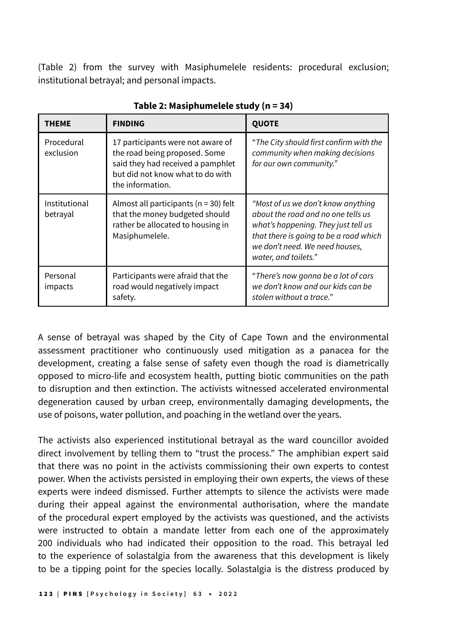(Table 2) from the survey with Masiphumelele residents: procedural exclusion; institutional betrayal; and personal impacts.

| <b>THEME</b>              | <b>FINDING</b>                                                                                                                                                  | <b>QUOTE</b>                                                                                                                                                                                                        |
|---------------------------|-----------------------------------------------------------------------------------------------------------------------------------------------------------------|---------------------------------------------------------------------------------------------------------------------------------------------------------------------------------------------------------------------|
| Procedural<br>exclusion   | 17 participants were not aware of<br>the road being proposed. Some<br>said they had received a pamphlet<br>but did not know what to do with<br>the information. | "The City should first confirm with the<br>community when making decisions<br>for our own community."                                                                                                               |
| Institutional<br>betrayal | Almost all participants ( $n = 30$ ) felt<br>that the money budgeted should<br>rather be allocated to housing in<br>Masiphumelele.                              | "Most of us we don't know anything<br>about the road and no one tells us<br>what's happening. They just tell us<br>that there is going to be a road which<br>we don't need. We need houses.<br>water, and toilets." |
| Personal<br>impacts       | Participants were afraid that the<br>road would negatively impact<br>safety.                                                                                    | "There's now gonna be a lot of cars<br>we don't know and our kids can be<br>stolen without a trace."                                                                                                                |

**Table 2: Masiphumelele study (n = 34)**

A sense of betrayal was shaped by the City of Cape Town and the environmental assessment practitioner who continuously used mitigation as a panacea for the development, creating a false sense of safety even though the road is diametrically opposed to micro-life and ecosystem health, putting biotic communities on the path to disruption and then extinction. The activists witnessed accelerated environmental degeneration caused by urban creep, environmentally damaging developments, the use of poisons, water pollution, and poaching in the wetland over the years.

The activists also experienced institutional betrayal as the ward councillor avoided direct involvement by telling them to "trust the process." The amphibian expert said that there was no point in the activists commissioning their own experts to contest power. When the activists persisted in employing their own experts, the views of these experts were indeed dismissed. Further attempts to silence the activists were made during their appeal against the environmental authorisation, where the mandate of the procedural expert employed by the activists was questioned, and the activists were instructed to obtain a mandate letter from each one of the approximately 200 individuals who had indicated their opposition to the road. This betrayal led to the experience of solastalgia from the awareness that this development is likely to be a tipping point for the species locally. Solastalgia is the distress produced by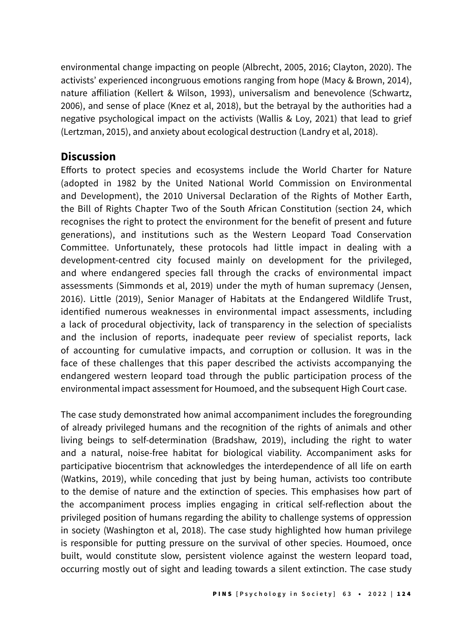environmental change impacting on people (Albrecht, 2005, 2016; Clayton, 2020). The activists' experienced incongruous emotions ranging from hope (Macy & Brown, 2014), nature affiliation (Kellert & Wilson, 1993), universalism and benevolence (Schwartz, 2006), and sense of place (Knez et al, 2018), but the betrayal by the authorities had a negative psychological impact on the activists (Wallis & Loy, 2021) that lead to grief (Lertzman, 2015), and anxiety about ecological destruction (Landry et al, 2018).

## **Discussion**

Efforts to protect species and ecosystems include the World Charter for Nature (adopted in 1982 by the United National World Commission on Environmental and Development), the 2010 Universal Declaration of the Rights of Mother Earth, the Bill of Rights Chapter Two of the South African Constitution (section 24, which recognises the right to protect the environment for the benefit of present and future generations), and institutions such as the Western Leopard Toad Conservation Committee. Unfortunately, these protocols had little impact in dealing with a development-centred city focused mainly on development for the privileged, and where endangered species fall through the cracks of environmental impact assessments (Simmonds et al, 2019) under the myth of human supremacy (Jensen, 2016). Little (2019), Senior Manager of Habitats at the Endangered Wildlife Trust, identified numerous weaknesses in environmental impact assessments, including a lack of procedural objectivity, lack of transparency in the selection of specialists and the inclusion of reports, inadequate peer review of specialist reports, lack of accounting for cumulative impacts, and corruption or collusion. It was in the face of these challenges that this paper described the activists accompanying the endangered western leopard toad through the public participation process of the environmental impact assessment for Houmoed, and the subsequent High Court case.

The case study demonstrated how animal accompaniment includes the foregrounding of already privileged humans and the recognition of the rights of animals and other living beings to self-determination (Bradshaw, 2019), including the right to water and a natural, noise-free habitat for biological viability. Accompaniment asks for participative biocentrism that acknowledges the interdependence of all life on earth (Watkins, 2019), while conceding that just by being human, activists too contribute to the demise of nature and the extinction of species. This emphasises how part of the accompaniment process implies engaging in critical self-reflection about the privileged position of humans regarding the ability to challenge systems of oppression in society (Washington et al, 2018). The case study highlighted how human privilege is responsible for putting pressure on the survival of other species. Houmoed, once built, would constitute slow, persistent violence against the western leopard toad, occurring mostly out of sight and leading towards a silent extinction. The case study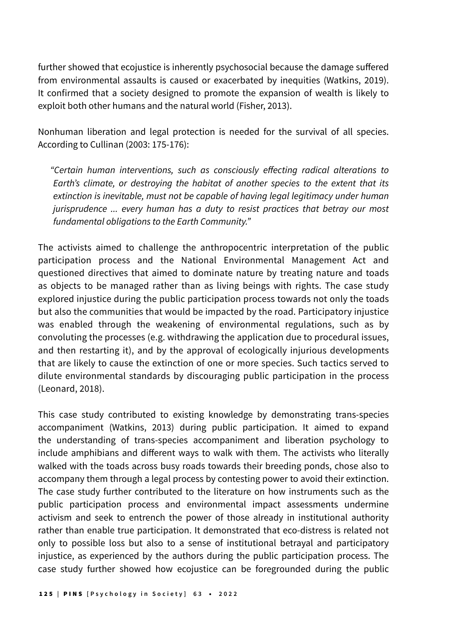further showed that ecojustice is inherently psychosocial because the damage suffered from environmental assaults is caused or exacerbated by inequities (Watkins, 2019). It confirmed that a society designed to promote the expansion of wealth is likely to exploit both other humans and the natural world (Fisher, 2013).

Nonhuman liberation and legal protection is needed for the survival of all species. According to Cullinan (2003: 175-176):

"Certain human interventions, such as consciously effecting radical alterations to Earth's climate, or destroying the habitat of another species to the extent that its extinction is inevitable, must not be capable of having legal legitimacy under human jurisprudence ... every human has a duty to resist practices that betray our most fundamental obligations to the Earth Community."

The activists aimed to challenge the anthropocentric interpretation of the public participation process and the National Environmental Management Act and questioned directives that aimed to dominate nature by treating nature and toads as objects to be managed rather than as living beings with rights. The case study explored injustice during the public participation process towards not only the toads but also the communities that would be impacted by the road. Participatory injustice was enabled through the weakening of environmental regulations, such as by convoluting the processes (e.g. withdrawing the application due to procedural issues, and then restarting it), and by the approval of ecologically injurious developments that are likely to cause the extinction of one or more species. Such tactics served to dilute environmental standards by discouraging public participation in the process (Leonard, 2018).

This case study contributed to existing knowledge by demonstrating trans-species accompaniment (Watkins, 2013) during public participation. It aimed to expand the understanding of trans-species accompaniment and liberation psychology to include amphibians and different ways to walk with them. The activists who literally walked with the toads across busy roads towards their breeding ponds, chose also to accompany them through a legal process by contesting power to avoid their extinction. The case study further contributed to the literature on how instruments such as the public participation process and environmental impact assessments undermine activism and seek to entrench the power of those already in institutional authority rather than enable true participation. It demonstrated that eco-distress is related not only to possible loss but also to a sense of institutional betrayal and participatory injustice, as experienced by the authors during the public participation process. The case study further showed how ecojustice can be foregrounded during the public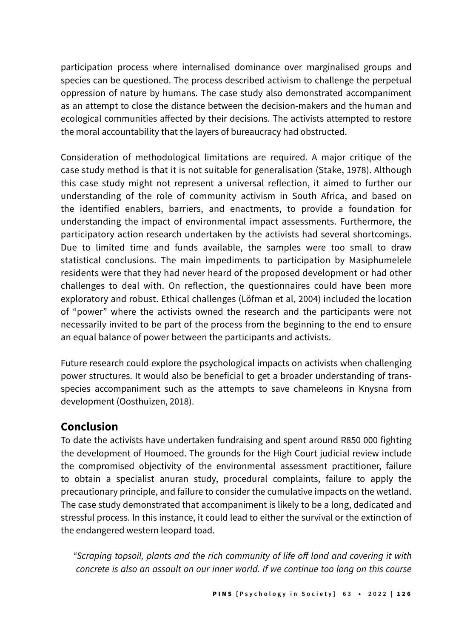participation process where internalised dominance over marginalised groups and species can be questioned. The process described activism to challenge the perpetual oppression of nature by humans. The case study also demonstrated accompaniment as an attempt to close the distance between the decision-makers and the human and ecological communities affected by their decisions. The activists attempted to restore the moral accountability that the layers of bureaucracy had obstructed.

Consideration of methodological limitations are required. A major critique of the case study method is that it is not suitable for generalisation (Stake, 1978). Although this case study might not represent a universal reflection, it aimed to further our understanding of the role of community activism in South Africa, and based on the identified enablers, barriers, and enactments, to provide a foundation for understanding the impact of environmental impact assessments. Furthermore, the participatory action research undertaken by the activists had several shortcomings. Due to limited time and funds available, the samples were too small to draw statistical conclusions. The main impediments to participation by Masiphumelele residents were that they had never heard of the proposed development or had other challenges to deal with. On reflection, the questionnaires could have been more exploratory and robust. Ethical challenges (Löfman et al, 2004) included the location of "power" where the activists owned the research and the participants were not necessarily invited to be part of the process from the beginning to the end to ensure an equal balance of power between the participants and activists.

Future research could explore the psychological impacts on activists when challenging power structures. It would also be beneficial to get a broader understanding of transspecies accompaniment such as the attempts to save chameleons in Knysna from development (Oosthuizen, 2018).

## **Conclusion**

To date the activists have undertaken fundraising and spent around R850 000 fighting the development of Houmoed. The grounds for the High Court judicial review include the compromised objectivity of the environmental assessment practitioner, failure to obtain a specialist anuran study, procedural complaints, failure to apply the precautionary principle, and failure to consider the cumulative impacts on the wetland. The case study demonstrated that accompaniment is likely to be a long, dedicated and stressful process. In this instance, it could lead to either the survival or the extinction of the endangered western leopard toad.

"Scraping topsoil, plants and the rich community of life off land and covering it with concrete is also an assault on our inner world. If we continue too long on this course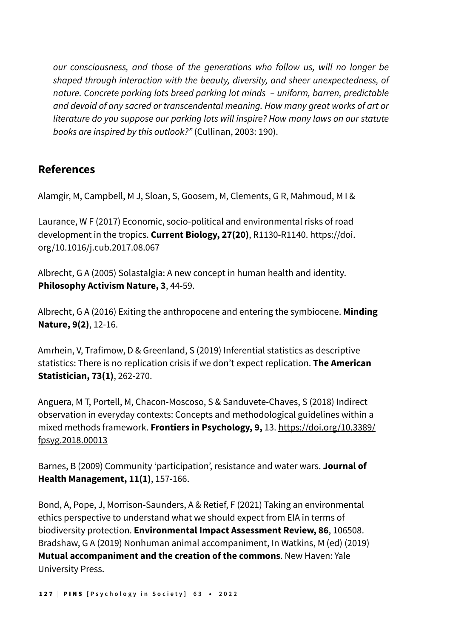our consciousness, and those of the generations who follow us, will no longer be shaped through interaction with the beauty, diversity, and sheer unexpectedness, of nature. Concrete parking lots breed parking lot minds – uniform, barren, predictable and devoid of any sacred or transcendental meaning. How many great works of art or literature do you suppose our parking lots will inspire? How many laws on our statute books are inspired by this outlook?" (Cullinan, 2003: 190).

# **References**

Alamgir, M, Campbell, M J, Sloan, S, Goosem, M, Clements, G R, Mahmoud, M I &

Laurance, W F (2017) Economic, socio-political and environmental risks of road development in the tropics. **Current Biology, 27(20)**, R1130-R1140. https://doi. org/10.1016/j.cub.2017.08.067

Albrecht, G A (2005) Solastalgia: A new concept in human health and identity. **Philosophy Activism Nature, 3**, 44-59.

Albrecht, G A (2016) Exiting the anthropocene and entering the symbiocene. **Minding Nature, 9(2)**, 12-16.

Amrhein, V, Trafimow, D & Greenland, S (2019) Inferential statistics as descriptive statistics: There is no replication crisis if we don't expect replication. **The American Statistician, 73(1)**, 262-270.

Anguera, M T, Portell, M, Chacon-Moscoso, S & Sanduvete-Chaves, S (2018) Indirect observation in everyday contexts: Concepts and methodological guidelines within a mixed methods framework. **Frontiers in Psychology, 9,** 13. [https://doi.org/10.3389/](about:blank) [fpsyg.2018.00013](about:blank)

Barnes, B (2009) Community 'participation', resistance and water wars. **Journal of Health Management, 11(1)**, 157-166.

Bond, A, Pope, J, Morrison-Saunders, A & Retief, F (2021) Taking an environmental ethics perspective to understand what we should expect from EIA in terms of biodiversity protection. **Environmental Impact Assessment Review, 86**, 106508. Bradshaw, G A (2019) Nonhuman animal accompaniment, In Watkins, M (ed) (2019) **Mutual accompaniment and the creation of the commons**. New Haven: Yale University Press.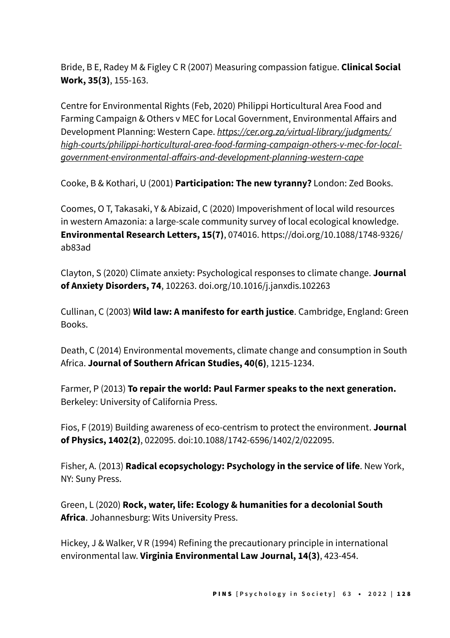Bride, B E, Radey M & Figley C R (2007) Measuring compassion fatigue. **Clinical Social Work, 35(3)**, 155-163.

Centre for Environmental Rights (Feb, 2020) Philippi Horticultural Area Food and Farming Campaign & Others v MEC for Local Government, Environmental Affairs and Development Planning: Western Cape. [https://cer.org.za/virtual-library/judgments/](about:blank) [high-courts/philippi-horticultural-area-food-farming-campaign-others-v-mec-for-local](about:blank)[government-environmental-affairs-and-development-planning-western-cape](about:blank)

Cooke, B & Kothari, U (2001) **Participation: The new tyranny?** London: Zed Books.

Coomes, O T, Takasaki, Y & Abizaid, C (2020) Impoverishment of local wild resources in western Amazonia: a large-scale community survey of local ecological knowledge. **Environmental Research Letters, 15(7)**, 074016. https://doi.org/10.1088/1748-9326/ ab83ad

Clayton, S (2020) Climate anxiety: Psychological responses to climate change. **Journal of Anxiety Disorders, 74**, 102263. doi.org/10.1016/j.janxdis.102263

Cullinan, C (2003) **Wild law: A manifesto for earth justice**. Cambridge, England: Green Books.

Death, C (2014) Environmental movements, climate change and consumption in South Africa. **Journal of Southern African Studies, 40(6)**, 1215-1234.

Farmer, P (2013) **To repair the world: Paul Farmer speaks to the next generation.** Berkeley: University of California Press.

Fios, F (2019) Building awareness of eco-centrism to protect the environment. **Journal of Physics, 1402(2)**, 022095. doi:10.1088/1742-6596/1402/2/022095.

Fisher, A. (2013) **Radical ecopsychology: Psychology in the service of life**. New York, NY: Suny Press.

Green, L (2020) **Rock, water, life: Ecology & humanities for a decolonial South Africa**. Johannesburg: Wits University Press.

Hickey, J & Walker, V R (1994) Refining the precautionary principle in international environmental law. **Virginia Environmental Law Journal, 14(3)**, 423-454.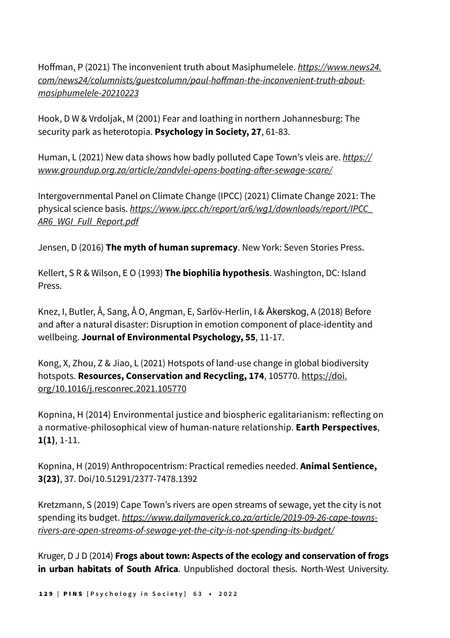Hoffman, P (2021) The inconvenient truth about Masiphumelele. [https://www.news24.](about:blank) [com/news24/columnists/guestcolumn/paul-hoffman-the-inconvenient-truth-about](about:blank)[masiphumelele-20210223](about:blank)

Hook, D W & Vrdoljak, M (2001) Fear and loathing in northern Johannesburg: The security park as heterotopia. **Psychology in Society, 27**, 61-83.

Human, L (2021) New data shows how badly polluted Cape Town's vleis are. [https://](about:blank) [www.groundup.org.za/article/zandvlei-opens-boating-after-sewage-scare/](about:blank)

Intergovernmental Panel on Climate Change (IPCC) (2021) Climate Change 2021: The physical science basis. [https://www.ipcc.ch/report/ar6/wg1/downloads/report/IPCC\\_](about:blank) [AR6\\_WGI\\_Full\\_Report.pdf](about:blank)

Jensen, D (2016) **The myth of human supremacy**. New York: Seven Stories Press.

Kellert, S R & Wilson, E O (1993) **The biophilia hypothesis**. Washington, DC: Island Press.

Knez, I, Butler, Å, Sang, Å O, Angman, E, Sarlöv-Herlin, I & Åkerskog, A (2018) Before and after a natural disaster: Disruption in emotion component of place-identity and wellbeing. **Journal of Environmental Psychology, 55**, 11-17.

Kong, X, Zhou, Z & Jiao, L (2021) Hotspots of land-use change in global biodiversity hotspots. **Resources, Conservation and Recycling, 174**, 105770. [https://doi.](about:blank) [org/10.1016/j.resconrec.2021.105770](about:blank)

Kopnina, H (2014) Environmental justice and biospheric egalitarianism: reflecting on a normative-philosophical view of human-nature relationship. **Earth Perspectives**, **1(1)**, 1-11.

Kopnina, H (2019) Anthropocentrism: Practical remedies needed. **Animal Sentience, 3(23)**, 37. Doi/10.51291/2377-7478.1392

Kretzmann, S (2019) Cape Town's rivers are open streams of sewage, yet the city is not spending its budget. [https://www.dailymaverick.co.za/article/2019-09-26-cape-towns](about:blank)[rivers-are-open-streams-of-sewage-yet-the-city-is-not-spending-its-budget/](about:blank)

Kruger, D J D (2014) **Frogs about town: Aspects of the ecology and conservation of frogs in urban habitats of South Africa**. Unpublished doctoral thesis. North-West University.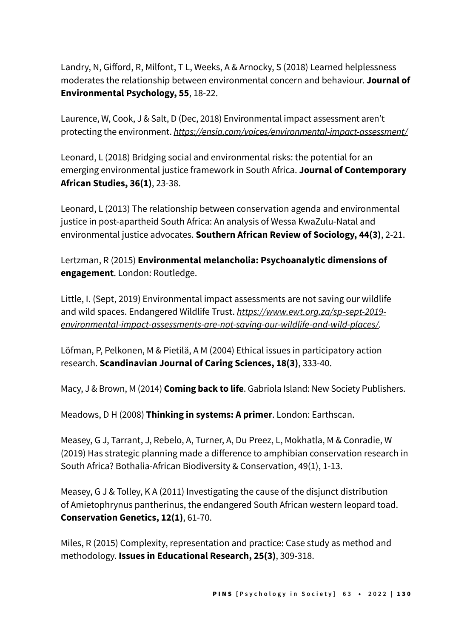Landry, N, Gifford, R, Milfont, T L, Weeks, A & Arnocky, S (2018) Learned helplessness moderates the relationship between environmental concern and behaviour. **Journal of Environmental Psychology, 55**, 18-22.

Laurence, W, Cook, J & Salt, D (Dec, 2018) Environmental impact assessment aren't protecting the environment. [https://ensia.com/voices/environmental-impact-assessment/](about:blank)

Leonard, L (2018) Bridging social and environmental risks: the potential for an emerging environmental justice framework in South Africa. **Journal of Contemporary African Studies, 36(1)**, 23-38.

Leonard, L (2013) The relationship between conservation agenda and environmental justice in post-apartheid South Africa: An analysis of Wessa KwaZulu-Natal and environmental justice advocates. **Southern African Review of Sociology, 44(3)**, 2-21.

Lertzman, R (2015) **Environmental melancholia: Psychoanalytic dimensions of engagement**. London: Routledge.

Little, I. (Sept, 2019) Environmental impact assessments are not saving our wildlife and wild spaces. Endangered Wildlife Trust. [https://www.ewt.org.za/sp-sept-2019](about:blank) [environmental-impact-assessments-are-not-saving-our-wildlife-and-wild-places/](about:blank)*.*

Löfman, P, Pelkonen, M & Pietilä, A M (2004) Ethical issues in participatory action research. **Scandinavian Journal of Caring Sciences, 18(3)**, 333-40.

Macy, J & Brown, M (2014) **Coming back to life**. Gabriola Island: New Society Publishers.

Meadows, D H (2008) **Thinking in systems: A primer**. London: Earthscan.

Measey, G J, Tarrant, J, Rebelo, A, Turner, A, Du Preez, L, Mokhatla, M & Conradie, W (2019) Has strategic planning made a difference to amphibian conservation research in South Africa? Bothalia-African Biodiversity & Conservation, 49(1), 1-13.

Measey, G J & Tolley, K A (2011) Investigating the cause of the disjunct distribution of Amietophrynus pantherinus, the endangered South African western leopard toad. **Conservation Genetics, 12(1)**, 61-70.

Miles, R (2015) Complexity, representation and practice: Case study as method and methodology. **Issues in Educational Research, 25(3)**, 309-318.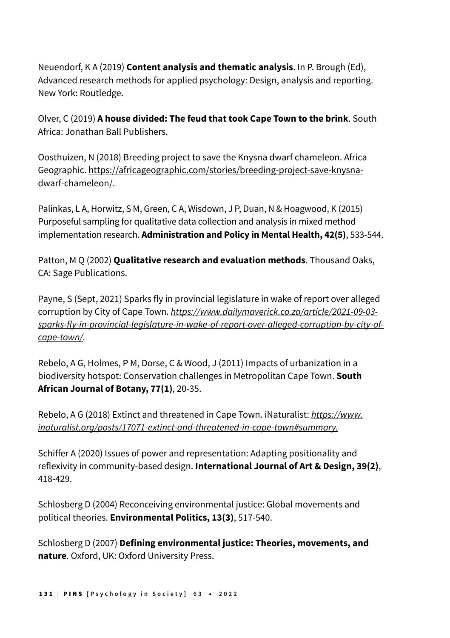Neuendorf, K A (2019) **Content analysis and thematic analysis**. In P. Brough (Ed), Advanced research methods for applied psychology: Design, analysis and reporting. New York: Routledge.

Olver, C (2019) **A house divided: The feud that took Cape Town to the brink**. South Africa: Jonathan Ball Publishers.

Oosthuizen, N (2018) Breeding project to save the Knysna dwarf chameleon. Africa Geographic. [https://africageographic.com/stories/breeding-project-save-knysna](about:blank)[dwarf-chameleon/](about:blank).

Palinkas, L A, Horwitz, S M, Green, C A, Wisdown, J P, Duan, N & Hoagwood, K (2015) Purposeful sampling for qualitative data collection and analysis in mixed method implementation research. **Administration and Policy in Mental Health, 42(5)**, 533-544.

Patton, M Q (2002) **Qualitative research and evaluation methods**. Thousand Oaks, CA: Sage Publications.

Payne, S (Sept, 2021) Sparks fly in provincial legislature in wake of report over alleged corruption by City of Cape Town. [https://www.dailymaverick.co.za/article/2021-09-03](about:blank) [sparks-fly-in-provincial-legislature-in-wake-of-report-over-alleged-corruption-by-city-of](about:blank)[cape-town/](about:blank)*.*

Rebelo, A G, Holmes, P M, Dorse, C & Wood, J (2011) Impacts of urbanization in a biodiversity hotspot: Conservation challenges in Metropolitan Cape Town. **South African Journal of Botany, 77(1)**, 20-35.

Rebelo, A G (2018) Extinct and threatened in Cape Town. iNaturalist: https://www. inaturalist.org/posts/17071-extinct-and-threatened-in-cape-town#summary*.*

Schiffer A (2020) Issues of power and representation: Adapting positionality and reflexivity in community-based design. **International Journal of Art & Design, 39(2)**, 418-429.

Schlosberg D (2004) Reconceiving environmental justice: Global movements and political theories. **Environmental Politics, 13(3)**, 517-540.

Schlosberg D (2007) **Defining environmental justice: Theories, movements, and nature**. Oxford, UK: Oxford University Press.